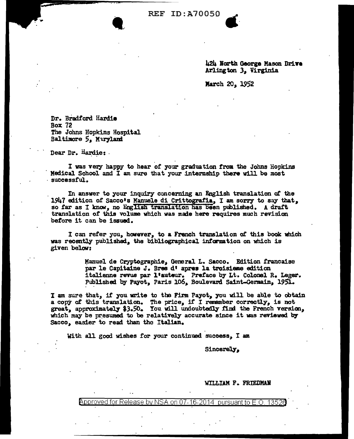**REF ID: A70050** 

424 North George Mason Drive Arlington 3, Virginia

March 20, 1952

Dr. Bradford Hardie **Box 72** The Johns Hopkins Hospital Baltimore 5, Maryland

Dear Dr. Hardie:

I was very happy to hear of your graduation from the Johns Hopkins Medical School and I am sure that your internship there will be most successful.

In answer to your inquiry concerning an English translation of the 1947 edition of Sacco's Manuele di Crittografia, I am sorry to say that, so far as I know, no English translation has been published. A draft translation of this volume which was made here requires much revision before it can be issued.

I can refer you, however, to a French translation of this book which was recently published, the bibliographical information on which is given below:

> Manuel de Cryptographie, General L. Sacco. Edition francaise par le Capitaine J. Bres d'apres la troisieme edition italienne revue par l'auteur. Preface by Lt. Colonel R. Leger.<br>Published by Payot, Paris 106, Boulevard Saint-Germain, 1951.

I am sure that, if you write to the Firm Payot, you will be able to obtain a copy of this translation. The price, if I remember correctly, is not great, approximately \$3.50. You will undoubtedly find the French version, which may be presumed to be relatively accurate since it was reviewed by Sacco, easier to read than the Italian.

With all good wishes for your continued success, I am

Sincerely,

WILLIAM F. FRIEDMAN

Approved for Release by NSA on 07-16-2014 nur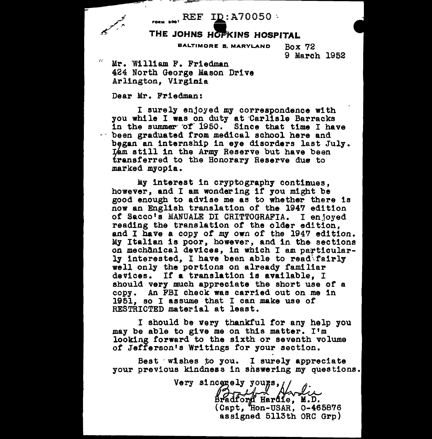$_{\rm{6011--60}}$  REF ID: A70050 \

## THE JOHNS HOPKINS HOSPITAL

**BALTIMORE B. MARYLAND** 

9 March 1952

 $Box 72$ 

Mr. William F. Friedman 424 North George Mason Drive Arlington. Virginia

Dear Mr. Friedman:

I surely enjoyed my correspondence with you while I was on duty at Carlisle Barracks in the summer of 1950. Since that time I have - been graduated from medical school here and began an internship in eye disorders last July. Lam still in the Army Reserve but have been transferred to the Honorary Reserve due to marked myopia.

My interest in cryptography continues. however, and I am wondering if you might be good enough to advise me as to whether there is now an English translation of the 1947 edition of Sacco's MANUALE DI CRITTOGRAFIA. I enjoyed reading the translation of the older edition, and I have a copy of my own of the 1947 edition. My Italian is poor, however, and in the sections on mechanical devices, in which I am particularly interested, I have been able to read fairly well only the portions on already familiar devices. If a translation is available, I should very much appreciate the short use of a copy. An FBI check was carried out on me in 1951, so I assume that I can make use of RESTRICTED material at least.

I should be very thankful for any help you may be able to give me on this matter. I'm looking forward to the sixth or seventh volume of Jefferson's Writings for your section.

Best wishes to you. I surely appreciate your previous kindness in shswering my questions.

Very sincerely yours, / Aralfox Bradford Hardie, M.D. (Capt, Hon-USAR, 0-465876 assigned 5113th ORC Grp)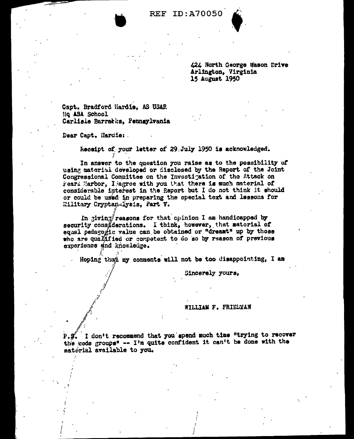**REF ID: A70050** 

424 North George Hason Drive Arlington, Virginia 15 August 1950

Capt. Bradford Hardie. AS USAR Ho ASA School Carlisle Barratks. Pennsylvania

Dear Capt. Hardie:

Receipt of your letter of 29 July 1950 is acknowledged.

In answer to the question you raise as to the possibility of using material developed or disclosed by the Report of the Joint Congressional Committee on the Investigation of the Attack on Fearl Harbor, I agree with you that there is much material of considerable interest in the Report but I do not think it should or could be used in preparing the special text and lessons for Eilitary Cryptan-Iysis, Part V.

In giving/reasons for that opinion I am handicapped by security cons derations. I think, however, that material of equal pedago fic value can be obtained or "dreamt" up by those who are qualified or competent to do so by reason of previous experience and knowledge.

Hoping that my comments will not be too disappointing, I am

Sincerely yours,

## WILLIAM F. FRIELMAN

P.S. I don't recommend that you spend much time "trying to recover the code groups" -- I'm quite confident it can't be done with the matifrial available to you.